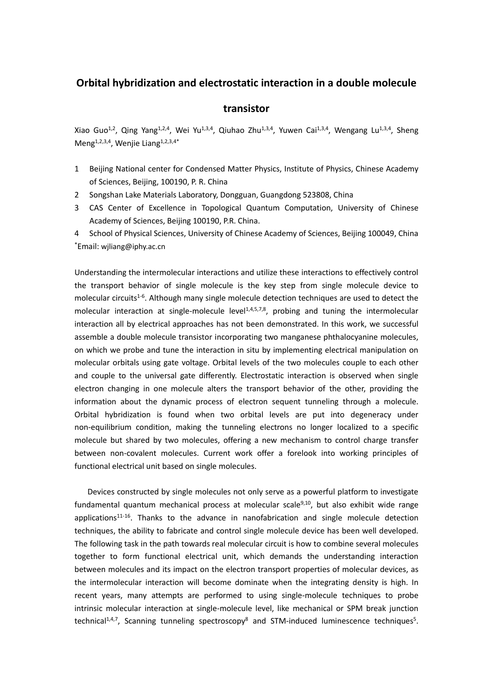## **Orbital hybridization and electrostatic interaction in a double molecule**

## **transistor**

Xiao Guo<sup>1,2</sup>, Qing Yang<sup>1,2,4</sup>, Wei Yu<sup>1,3,4</sup>, Qiuhao Zhu<sup>1,3,4</sup>, Yuwen Cai<sup>1,3,4</sup>, Wengang Lu<sup>1,3,4</sup>, Sheng Meng<sup>1,2,3,4</sup>, Wenjie Liang<sup>1,2,3,4\*</sup>

- 1 Beijing National center for Condensed Matter Physics, Institute of Physics, Chinese Academy of Sciences, Beijing, 100190, P. R. China
- 2 Songshan Lake Materials Laboratory, Dongguan, Guangdong 523808, China
- 3 CAS Center of Excellence in Topological Quantum Computation, University of Chinese Academy of Sciences, Beijing 100190, P.R. China.
- 4 School of Physical Sciences, University of Chinese Academy of Sciences, Beijing 100049, China \*Email: [wjliang@iphy.ac.cn](mailto:wjliang@iphy.ac.cn)

Understanding the intermolecular interactions and utilize these interactions to effectively control the transport behavior of single molecule is the key step from single molecule device to molecular circuits<sup>1-6</sup>. Although many single molecule detection techniques are used to detect the molecular interaction at single-molecule level<sup>1,4,5,7,8</sup>, probing and tuning the intermolecular interaction all by electrical approaches has not been demonstrated. In this work, we successful assemble a double molecule transistor incorporating two manganese phthalocyanine molecules, on which we probe and tune the interaction in situ by implementing electrical manipulation on molecular orbitals using gate voltage. Orbital levels of the two molecules couple to each other and couple to the universal gate differently. Electrostatic interaction is observed when single electron changing in one molecule alters the transport behavior of the other, providing the information about the dynamic process of electron sequent tunneling through a molecule. Orbital hybridization is found when two orbital levels are put into degeneracy under non-equilibrium condition, making the tunneling electrons no longer localized to a specific molecule but shared by two molecules, offering a new mechanism to control charge transfer between non-covalent molecules. Current work offer a forelook into working principles of functional electrical unit based on single molecules.

Devices constructed by single molecules not only serve as a powerful platform to investigate fundamental quantum mechanical process at molecular scale<sup>9,10</sup>, but also exhibit wide range applications<sup>11-16</sup>. Thanks to the advance in nanofabrication and single molecule detection techniques, the ability to fabricate and control single molecule device has been well developed. The following task in the path towards real molecular circuit is how to combine several molecules together to form functional electrical unit, which demands the understanding interaction between molecules and its impact on the electron transport properties of molecular devices, as the intermolecular interaction will become dominate when the integrating density is high. In recent years, many attempts are performed to using single-molecule techniques to probe intrinsic molecular interaction at single-molecule level, like mechanical or SPM break junction technical<sup>1,4,7</sup>, Scanning tunneling spectroscopy<sup>8</sup> and STM-induced luminescence techniques<sup>5</sup>.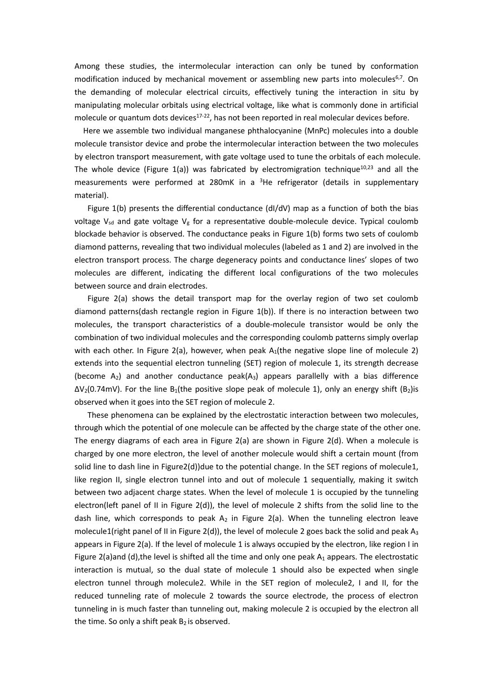Among these studies, the intermolecular interaction can only be tuned by conformation modification induced by mechanical movement or assembling new parts into molecules<sup>6,7</sup>. On the demanding of molecular electrical circuits, effectively tuning the interaction in situ by manipulating molecular orbitals using electrical voltage, like what is commonly done in artificial molecule or quantum dots devices $17-22$ , has not been reported in real molecular devices before.

Here we assemble two individual manganese phthalocyanine (MnPc) molecules into a double molecule transistor device and probe the intermolecular interaction between the two molecules by electron transport measurement, with gate voltage used to tune the orbitals of each molecule. The whole device (Figure 1(a)) was fabricated by electromigration technique<sup>10,23</sup> and all the measurements were performed at 280mK in a  ${}^{3}$ He refrigerator (details in supplementary material).

Figure  $1(b)$  presents the differential conductance  $\frac{dI}{dv}$  map as a function of both the bias voltage  $V_{sd}$  and gate voltage  $V_g$  for a representative double-molecule device. Typical coulomb blockade behavior is observed. The conductance peaks in Figure 1(b) forms two sets of coulomb diamond patterns, revealing that two individual molecules (labeled as 1 and 2) are involved in the electron transport process. The charge degeneracy points and conductance lines' slopes of two molecules are different, indicating the different local configurations of the two molecules between source and drain electrodes.

Figure 2(a) shows the detail transport map for the overlay region of two set coulomb diamond patterns(dash rectangle region in Figure 1(b)). If there is no interaction between two molecules, the transport characteristics of a double-molecule transistor would be only the combination of two individual molecules and the corresponding coulomb patterns simply overlap with each other. In Figure 2(a), however, when peak  $A_1$ (the negative slope line of molecule 2) extends into the sequential electron tunneling (SET) region of molecule 1, its strength decrease (become  $A_2$ ) and another conductance peak $(A_3)$  appears parallelly with a bias difference  $\Delta V_2$ (0.74mV). For the line B<sub>1</sub>(the positive slope peak of molecule 1), only an energy shift (B<sub>2</sub>)is observed when it goes into the SET region of molecule 2.

These phenomena can be explained by the electrostatic interaction between two molecules, through which the potential of one molecule can be affected by the charge state of the other one. The energy diagrams of each area in Figure 2(a) are shown in Figure 2(d). When a molecule is charged by one more electron, the level of another molecule would shift a certain mount (from solid line to dash line in Figure2(d))due to the potential change. In the SET regions of molecule1, like region II, single electron tunnel into and out of molecule 1 sequentially, making it switch between two adjacent charge states. When the level of molecule 1 is occupied by the tunneling electron(left panel of II in Figure 2(d)), the level of molecule 2 shifts from the solid line to the dash line, which corresponds to peak  $A_2$  in Figure 2(a). When the tunneling electron leave molecule1(right panel of II in Figure 2(d)), the level of molecule 2 goes back the solid and peak  $A_3$ appears in Figure 2(a). If the level of molecule 1 is always occupied by the electron, like region I in Figure 2(a)and (d), the level is shifted all the time and only one peak  $A_1$  appears. The electrostatic interaction is mutual, so the dual state of molecule 1 should also be expected when single electron tunnel through molecule2. While in the SET region of molecule2, I and II, for the reduced tunneling rate of molecule 2 towards the source electrode, the process of electron tunneling in is much faster than tunneling out, making molecule 2 is occupied by the electron all the time. So only a shift peak  $B_2$  is observed.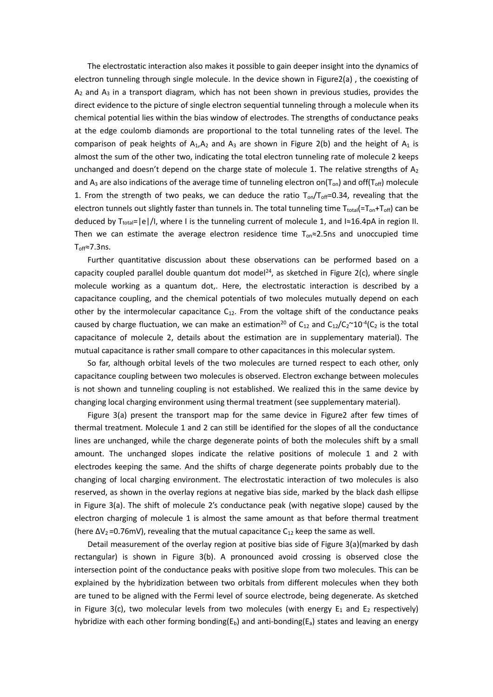The electrostatic interaction also makes it possible to gain deeper insight into the dynamics of electron tunneling through single molecule. In the device shown in Figure2(a) , the coexisting of  $A<sub>2</sub>$  and  $A<sub>3</sub>$  in a transport diagram, which has not been shown in previous studies, provides the direct evidence to the picture of single electron sequential tunneling through a molecule when its chemical potential lies within the bias window of electrodes. The strengths of conductance peaks at the edge coulomb diamonds are proportional to the total tunneling rates of the level. The comparison of peak heights of  $A_1, A_2$  and  $A_3$  are shown in Figure 2(b) and the height of  $A_1$  is almost the sum of the other two, indicating the total electron tunneling rate of molecule 2 keeps unchanged and doesn't depend on the charge state of molecule 1. The relative strengths of  $A_2$ and  $A_3$  are also indications of the average time of tunneling electron on( $T_{on}$ ) and off( $T_{off}$ ) molecule 1. From the strength of two peaks, we can deduce the ratio  $T_{on}/T_{off}=0.34$ , revealing that the electron tunnels out slightly faster than tunnels in. The total tunneling time  $T_{total} = T_{on} + T_{off}$ ) can be deduced by T<sub>total</sub>=|e|/I, where I is the tunneling current of molecule 1, and I≈16.4pA in region II. Then we can estimate the average electron residence time  $T_{on} \approx 2.5$ ns and unoccupied time  $T_{off}$ ≈7.3ns.

Further quantitative discussion about these observations can be performed based on a capacity coupled parallel double quantum dot model<sup>24</sup>, as sketched in Figure 2(c), where single molecule working as a quantum dot,. Here, the electrostatic interaction is described by a capacitance coupling, and the chemical potentials of two molecules mutually depend on each other by the intermolecular capacitance  $C_{12}$ . From the voltage shift of the conductance peaks caused by charge fluctuation, we can make an estimation<sup>20</sup> of C<sub>12</sub> and C<sub>12</sub>/C<sub>2</sub>~10<sup>-4</sup>(C<sub>2</sub> is the total capacitance of molecule 2, details about the estimation are in supplementary material). The mutual capacitance is rather small compare to other capacitances in this molecular system.

So far, although orbital levels of the two molecules are turned respect to each other, only capacitance coupling between two molecules is observed. Electron exchange between molecules is not shown and tunneling coupling is not established. We realized this in the same device by changing local charging environment using thermal treatment (see supplementary material).

Figure 3(a) present the transport map for the same device in Figure2 after few times of thermal treatment. Molecule 1 and 2 can still be identified for the slopes of all the conductance lines are unchanged, while the charge degenerate points of both the molecules shift by a small amount. The unchanged slopes indicate the relative positions of molecule 1 and 2 with electrodes keeping the same. And the shifts of charge degenerate points probably due to the changing of local charging environment. The electrostatic interaction of two molecules is also reserved, as shown in the overlay regions at negative bias side, marked by the black dash ellipse in Figure 3(a). The shift of molecule 2's conductance peak (with negative slope) caused by the electron charging of molecule 1 is almost the same amount as that before thermal treatment (here  $\Delta V_2$ =0.76mV), revealing that the mutual capacitance  $C_{12}$  keep the same as well.

Detail measurement of the overlay region at positive bias side of Figure 3(a)(marked by dash rectangular) is shown in Figure 3(b). A pronounced avoid crossing is observed close the intersection point of the conductance peaks with positive slope from two molecules. This can be explained by the hybridization between two orbitals from different molecules when they both are tuned to be aligned with the Fermi level of source electrode, being degenerate. As sketched in Figure 3(c), two molecular levels from two molecules (with energy  $E_1$  and  $E_2$  respectively) hybridize with each other forming bonding( $E<sub>b</sub>$ ) and anti-bonding( $E<sub>a</sub>$ ) states and leaving an energy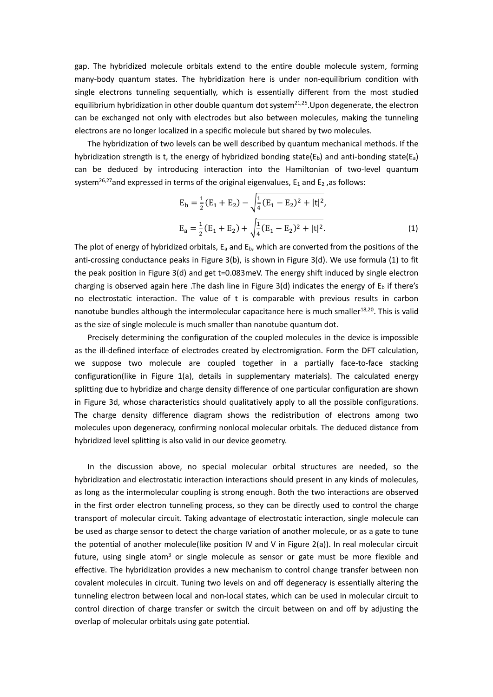gap. The hybridized molecule orbitals extend to the entire double molecule system, forming many-body quantum states. The hybridization here is under non-equilibrium condition with single electrons tunneling sequentially, which is essentially different from the most studied equilibrium hybridization in other double quantum dot system<sup>21,25</sup>. Upon degenerate, the electron can be exchanged not only with electrodes but also between molecules, making the tunneling electrons are no longer localized in a specific molecule but shared by two molecules.

The hybridization of two levels can be well described by quantum mechanical methods. If the hybridization strength is t, the energy of hybridized bonding state( $E<sub>b</sub>$ ) and anti-bonding state( $E<sub>a</sub>$ ) can be deduced by introducing interaction into the Hamiltonian of two-level quantum system<sup>26,27</sup>and expressed in terms of the original eigenvalues,  $E_1$  and  $E_2$ , as follows:

$$
E_b = \frac{1}{2} (E_1 + E_2) - \sqrt{\frac{1}{4} (E_1 - E_2)^2 + |t|^2},
$$
  
\n
$$
E_a = \frac{1}{2} (E_1 + E_2) + \sqrt{\frac{1}{4} (E_1 - E_2)^2 + |t|^2}.
$$
\n(1)

The plot of energy of hybridized orbitals,  $E_a$  and  $E_b$ , which are converted from the positions of the anti-crossing conductance peaks in Figure 3(b), is shown in Figure 3(d). We use formula (1) to fit the peak position in Figure 3(d) and get t=0.083meV. The energy shift induced by single electron charging is observed again here .The dash line in Figure 3(d) indicates the energy of  $E_b$  if there's no electrostatic interaction. The value of t is comparable with previous results in carbon nanotube bundles although the intermolecular capacitance here is much smaller<sup>18,20</sup>. This is valid as the size of single molecule is much smaller than nanotube quantum dot.

 Precisely determining the configuration of the coupled molecules in the device is impossible as the ill-defined interface of electrodes created by electromigration. Form the DFT calculation, we suppose two molecule are coupled together in a partially face-to-face stacking configuration(like in Figure 1(a), details in supplementary materials). The calculated energy splitting due to hybridize and charge density difference of one particular configuration are shown in Figure 3d, whose characteristics should qualitatively apply to all the possible configurations. The charge density difference diagram shows the redistribution of electrons among two molecules upon degeneracy, confirming nonlocal molecular orbitals. The deduced distance from hybridized level splitting is also valid in our device geometry.

In the discussion above, no special molecular orbital structures are needed, so the hybridization and electrostatic interaction interactions should present in any kinds of molecules, as long as the intermolecular coupling is strong enough. Both the two interactions are observed in the first order electron tunneling process, so they can be directly used to control the charge transport of molecular circuit. Taking advantage of electrostatic interaction, single molecule can be used as charge sensor to detect the charge variation of another molecule, or as a gate to tune the potential of another molecule(like position IV and V in Figure 2(a)). In real molecular circuit future, using single atom<sup>3</sup> or single molecule as sensor or gate must be more flexible and effective. The hybridization provides a new mechanism to control change transfer between non covalent molecules in circuit. Tuning two levels on and off degeneracy is essentially altering the tunneling electron between local and non-local states, which can be used in molecular circuit to control direction of charge transfer or switch the circuit between on and off by adjusting the overlap of molecular orbitals using gate potential.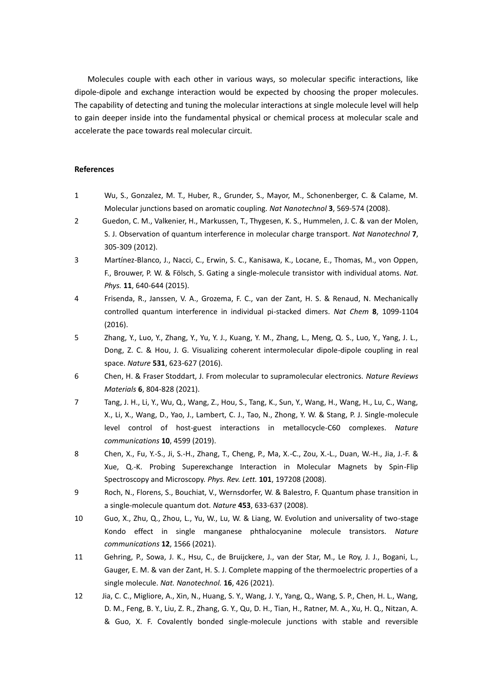Molecules couple with each other in various ways, so molecular specific interactions, like dipole-dipole and exchange interaction would be expected by choosing the proper molecules. The capability of detecting and tuning the molecular interactions at single molecule level will help to gain deeper inside into the fundamental physical or chemical process at molecular scale and accelerate the pace towards real molecular circuit.

## **References**

- 1 Wu, S., Gonzalez, M. T., Huber, R., Grunder, S., Mayor, M., Schonenberger, C. & Calame, M. Molecular junctions based on aromatic coupling. *Nat Nanotechnol* **3**, 569-574 (2008).
- 2 Guedon, C. M., Valkenier, H., Markussen, T., Thygesen, K. S., Hummelen, J. C. & van der Molen, S. J. Observation of quantum interference in molecular charge transport. *Nat Nanotechnol* **7**, 305-309 (2012).
- 3 Martínez-Blanco, J., Nacci, C., Erwin, S. C., Kanisawa, K., Locane, E., Thomas, M., von Oppen, F., Brouwer, P. W. & Fölsch, S. Gating a single-molecule transistor with individual atoms. *Nat. Phys.* **11**, 640-644 (2015).
- 4 Frisenda, R., Janssen, V. A., Grozema, F. C., van der Zant, H. S. & Renaud, N. Mechanically controlled quantum interference in individual pi-stacked dimers. *Nat Chem* **8**, 1099-1104 (2016).
- 5 Zhang, Y., Luo, Y., Zhang, Y., Yu, Y. J., Kuang, Y. M., Zhang, L., Meng, Q. S., Luo, Y., Yang, J. L., Dong, Z. C. & Hou, J. G. Visualizing coherent intermolecular dipole-dipole coupling in real space. *Nature* **531**, 623-627 (2016).
- 6 Chen, H. & Fraser Stoddart, J. From molecular to supramolecular electronics. *Nature Reviews Materials* **6**, 804-828 (2021).
- 7 Tang, J. H., Li, Y., Wu, Q., Wang, Z., Hou, S., Tang, K., Sun, Y., Wang, H., Wang, H., Lu, C., Wang, X., Li, X., Wang, D., Yao, J., Lambert, C. J., Tao, N., Zhong, Y. W. & Stang, P. J. Single-molecule level control of host-guest interactions in metallocycle-C60 complexes. *Nature communications* **10**, 4599 (2019).
- 8 Chen, X., Fu, Y.-S., Ji, S.-H., Zhang, T., Cheng, P., Ma, X.-C., Zou, X.-L., Duan, W.-H., Jia, J.-F. & Xue, Q.-K. Probing Superexchange Interaction in Molecular Magnets by Spin-Flip Spectroscopy and Microscopy. *Phys. Rev. Lett.* **101**, 197208 (2008).
- 9 Roch, N., Florens, S., Bouchiat, V., Wernsdorfer, W. & Balestro, F. Quantum phase transition in a single-molecule quantum dot. *Nature* **453**, 633-637 (2008).
- 10 Guo, X., Zhu, Q., Zhou, L., Yu, W., Lu, W. & Liang, W. Evolution and universality of two-stage Kondo effect in single manganese phthalocyanine molecule transistors. *Nature communications* **12**, 1566 (2021).
- 11 Gehring, P., Sowa, J. K., Hsu, C., de Bruijckere, J., van der Star, M., Le Roy, J. J., Bogani, L., Gauger, E. M. & van der Zant, H. S. J. Complete mapping of the thermoelectric properties of a single molecule. *Nat. Nanotechnol.* **16**, 426 (2021).
- 12 Jia, C. C., Migliore, A., Xin, N., Huang, S. Y., Wang, J. Y., Yang, Q., Wang, S. P., Chen, H. L., Wang, D. M., Feng, B. Y., Liu, Z. R., Zhang, G. Y., Qu, D. H., Tian, H., Ratner, M. A., Xu, H. Q., Nitzan, A. & Guo, X. F. Covalently bonded single-molecule junctions with stable and reversible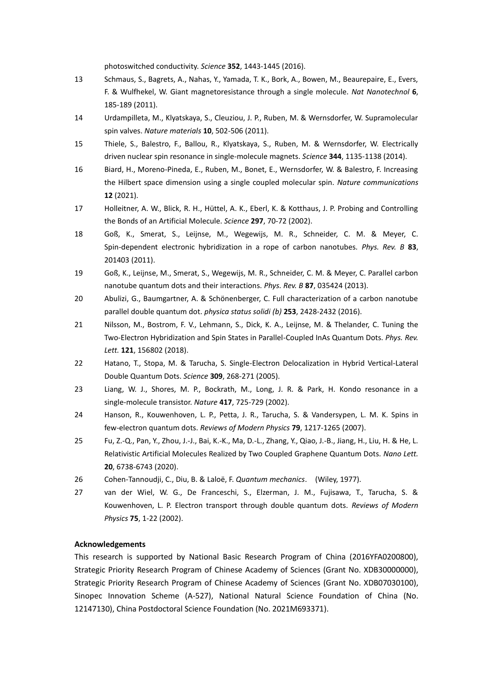photoswitched conductivity. *Science* **352**, 1443-1445 (2016).

- 13 Schmaus, S., Bagrets, A., Nahas, Y., Yamada, T. K., Bork, A., Bowen, M., Beaurepaire, E., Evers, F. & Wulfhekel, W. Giant magnetoresistance through a single molecule. *Nat Nanotechnol* **6**, 185-189 (2011).
- 14 Urdampilleta, M., Klyatskaya, S., Cleuziou, J. P., Ruben, M. & Wernsdorfer, W. Supramolecular spin valves. *Nature materials* **10**, 502-506 (2011).
- 15 Thiele, S., Balestro, F., Ballou, R., Klyatskaya, S., Ruben, M. & Wernsdorfer, W. Electrically driven nuclear spin resonance in single-molecule magnets. *Science* **344**, 1135-1138 (2014).
- 16 Biard, H., Moreno-Pineda, E., Ruben, M., Bonet, E., Wernsdorfer, W. & Balestro, F. Increasing the Hilbert space dimension using a single coupled molecular spin. *Nature communications* **12** (2021).
- 17 Holleitner, A. W., Blick, R. H., Hüttel, A. K., Eberl, K. & Kotthaus, J. P. Probing and Controlling the Bonds of an Artificial Molecule. *Science* **297**, 70-72 (2002).
- 18 Goß, K., Smerat, S., Leijnse, M., Wegewijs, M. R., Schneider, C. M. & Meyer, C. Spin-dependent electronic hybridization in a rope of carbon nanotubes. *Phys. Rev. B* **83**, 201403 (2011).
- 19 Goß, K., Leijnse, M., Smerat, S., Wegewijs, M. R., Schneider, C. M. & Meyer, C. Parallel carbon nanotube quantum dots and their interactions. *Phys. Rev. B* **87**, 035424 (2013).
- 20 Abulizi, G., Baumgartner, A. & Schönenberger, C. Full characterization of a carbon nanotube parallel double quantum dot. *physica status solidi (b)* **253**, 2428-2432 (2016).
- 21 Nilsson, M., Bostrom, F. V., Lehmann, S., Dick, K. A., Leijnse, M. & Thelander, C. Tuning the Two-Electron Hybridization and Spin States in Parallel-Coupled InAs Quantum Dots. *Phys. Rev. Lett.* **121**, 156802 (2018).
- 22 Hatano, T., Stopa, M. & Tarucha, S. Single-Electron Delocalization in Hybrid Vertical-Lateral Double Quantum Dots. *Science* **309**, 268-271 (2005).
- 23 Liang, W. J., Shores, M. P., Bockrath, M., Long, J. R. & Park, H. Kondo resonance in a single-molecule transistor. *Nature* **417**, 725-729 (2002).
- 24 Hanson, R., Kouwenhoven, L. P., Petta, J. R., Tarucha, S. & Vandersypen, L. M. K. Spins in few-electron quantum dots. *Reviews of Modern Physics* **79**, 1217-1265 (2007).
- 25 Fu, Z.-Q., Pan, Y., Zhou, J.-J., Bai, K.-K., Ma, D.-L., Zhang, Y., Qiao, J.-B., Jiang, H., Liu, H. & He, L. Relativistic Artificial Molecules Realized by Two Coupled Graphene Quantum Dots. *Nano Lett.* **20**, 6738-6743 (2020).
- 26 Cohen-Tannoudji, C., Diu, B. & Laloë, F. *Quantum mechanics*. (Wiley, 1977).
- 27 van der Wiel, W. G., De Franceschi, S., Elzerman, J. M., Fujisawa, T., Tarucha, S. & Kouwenhoven, L. P. Electron transport through double quantum dots. *Reviews of Modern Physics* **75**, 1-22 (2002).

## **Acknowledgements**

This research is supported by National Basic Research Program of China (2016YFA0200800), Strategic Priority Research Program of Chinese Academy of Sciences (Grant No. XDB30000000), Strategic Priority Research Program of Chinese Academy of Sciences (Grant No. XDB07030100), Sinopec Innovation Scheme (A-527), National Natural Science Foundation of China (No. 12147130), China Postdoctoral Science Foundation (No. 2021M693371).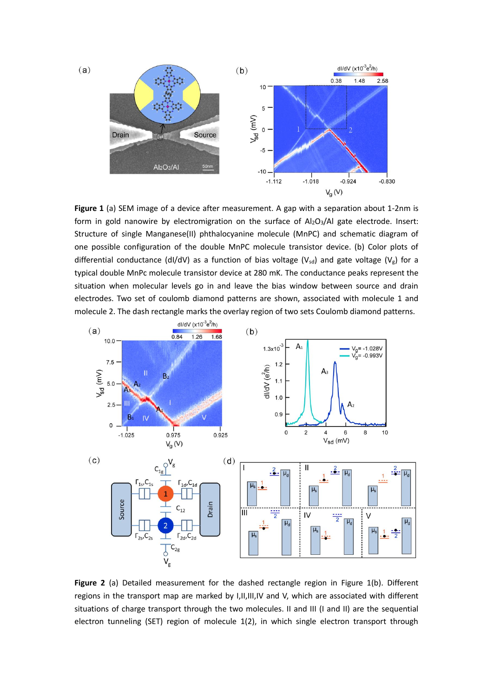

**Figure 1** (a) SEM image of a device after measurement. A gap with a separation about 1-2nm is form in gold nanowire by electromigration on the surface of  $Al_2O_3/Al$  gate electrode. Insert: Structure of single Manganese(II) phthalocyanine molecule (MnPC) and schematic diagram of one possible configuration of the double MnPC molecule transistor device. (b) Color plots of differential conductance (dI/dV) as a function of bias voltage (V<sub>sd</sub>) and gate voltage (V<sub>g</sub>) for a typical double MnPc molecule transistor device at 280 mK. The conductance peaks represent the situation when molecular levels go in and leave the bias window between source and drain electrodes. Two set of coulomb diamond patterns are shown, associated with molecule 1 and molecule 2. The dash rectangle marks the overlay region of two sets Coulomb diamond patterns.



**Figure 2** (a) Detailed measurement for the dashed rectangle region in Figure 1(b). Different regions in the transport map are marked by I,II,III,IV and V, which are associated with different situations of charge transport through the two molecules. II and III (I and II) are the sequential electron tunneling (SET) region of molecule 1(2), in which single electron transport through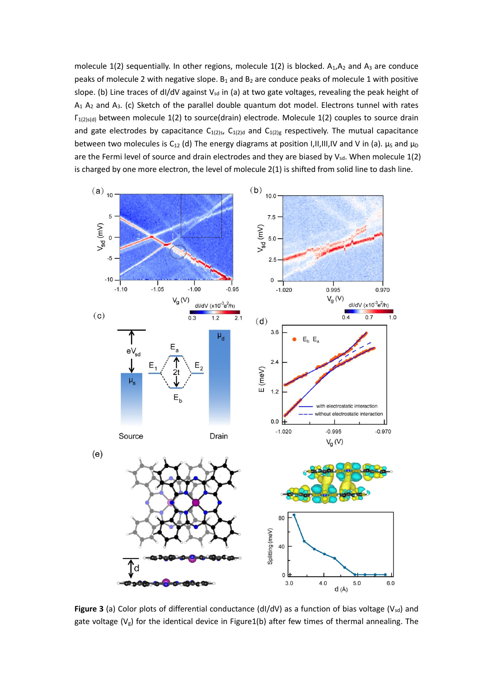molecule  $1(2)$  sequentially. In other regions, molecule  $1(2)$  is blocked.  $A_1, A_2$  and  $A_3$  are conduce peaks of molecule 2 with negative slope.  $B_1$  and  $B_2$  are conduce peaks of molecule 1 with positive slope. (b) Line traces of dI/dV against V<sub>sd</sub> in (a) at two gate voltages, revealing the peak height of  $A_1$   $A_2$  and  $A_3$ . (c) Sketch of the parallel double quantum dot model. Electrons tunnel with rates Γ1(2)s(d) between molecule 1(2) to source(drain) electrode. Molecule 1(2) couples to source drain and gate electrodes by capacitance  $C_{1(2)s}$ ,  $C_{1(2)d}$  and  $C_{1(2)g}$  respectively. The mutual capacitance between two molecules is C<sub>12</sub> (d) The energy diagrams at position I,II,III,IV and V in (a).  $\mu_s$  and  $\mu_D$ are the Fermi level of source and drain electrodes and they are biased by Vsd. When molecule 1(2) is charged by one more electron, the level of molecule 2(1) is shifted from solid line to dash line.



Figure 3 (a) Color plots of differential conductance (dI/dV) as a function of bias voltage (Vsd) and gate voltage ( $V_g$ ) for the identical device in Figure1(b) after few times of thermal annealing. The